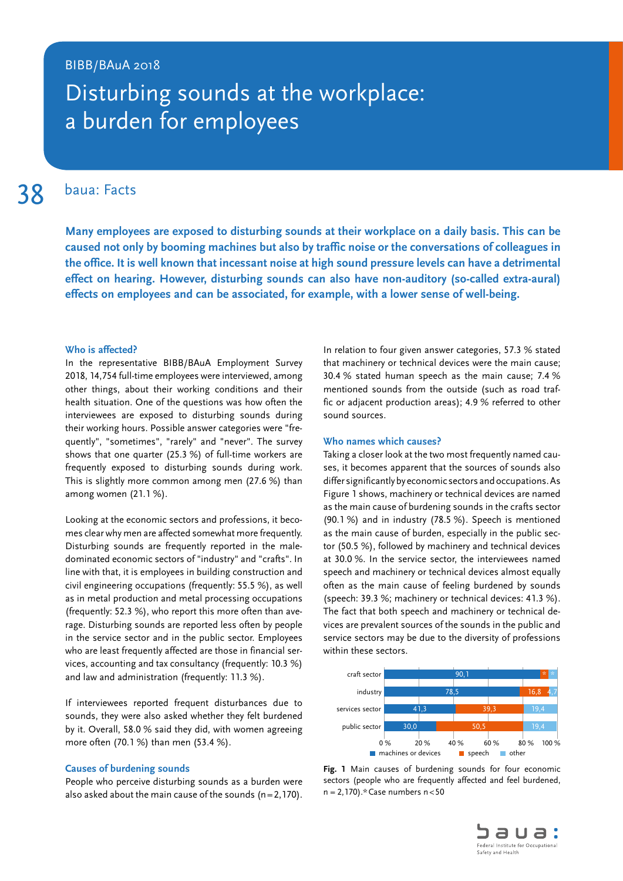## BIBB/BAuA 2018

# Disturbing sounds at the workplace: a burden for employees

38 baua: Facts

**Many employees are exposed to disturbing sounds at their workplace on a daily basis. This can be caused not only by booming machines but also by traffic noise or the conversations of colleagues in the office. It is well known that incessant noise at high sound pressure levels can have a detrimental effect on hearing. However, disturbing sounds can also have non-auditory (so-called extra-aural) effects on employees and can be associated, for example, with a lower sense of well-being.**

### **Who is affected?**

In the representative BIBB/BAuA Employment Survey 2018, 14,754 full-time employees were interviewed, among other things, about their working conditions and their health situation. One of the questions was how often the interviewees are exposed to disturbing sounds during their working hours. Possible answer categories were "frequently", "sometimes", "rarely" and "never". The survey shows that one quarter (25.3 %) of full-time workers are frequently exposed to disturbing sounds during work. This is slightly more common among men (27.6 %) than among women (21.1 %).

Looking at the economic sectors and professions, it becomes clear why men are affected somewhat more frequently. Disturbing sounds are frequently reported in the maledominated economic sectors of "industry" and "crafts". In line with that, it is employees in building construction and civil engineering occupations (frequently: 55.5 %), as well as in metal production and metal processing occupations (frequently: 52.3 %), who report this more often than average. Disturbing sounds are reported less often by people in the service sector and in the public sector. Employees who are least frequently affected are those in financial services, accounting and tax consultancy (frequently: 10.3 %) and law and administration (frequently: 11.3 %).

If interviewees reported frequent disturbances due to sounds, they were also asked whether they felt burdened by it. Overall, 58.0 % said they did, with women agreeing more often (70.1 %) than men (53.4 %).

#### **Causes of burdening sounds**

People who perceive disturbing sounds as a burden were also asked about the main cause of the sounds  $(n=2,170)$ . In relation to four given answer categories, 57.3 % stated that machinery or technical devices were the main cause; 30.4 % stated human speech as the main cause; 7.4 % mentioned sounds from the outside (such as road traffic or adjacent production areas); 4.9 % referred to other sound sources.

#### **Who names which causes?**

Taking a closer look at the two most frequently named causes, it becomes apparent that the sources of sounds also differ significantly by economic sectors and occupations. As Figure 1 shows, machinery or technical devices are named as the main cause of burdening sounds in the crafts sector (90.1 %) and in industry (78.5 %). Speech is mentioned as the main cause of burden, especially in the public sector (50.5 %), followed by machinery and technical devices at 30.0 %. In the service sector, the interviewees named speech and machinery or technical devices almost equally often as the main cause of feeling burdened by sounds (speech: 39.3 %; machinery or technical devices: 41.3 %). The fact that both speech and machinery or technical devices are prevalent sources of the sounds in the public and service sectors may be due to the diversity of professions within these sectors.



**Fig. 1** Main causes of burdening sounds for four economic sectors (people who are frequently affected and feel burdened, n = 2,170).\*Case numbers n<50